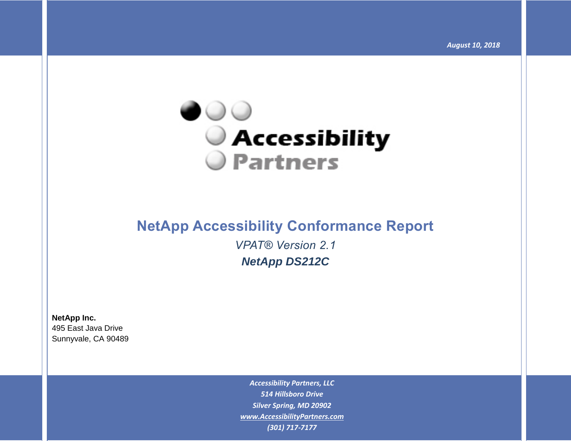

# **NetApp Accessibility Conformance Report** *VPAT® Version 2.1 NetApp DS212C*

**NetApp Inc.** 495 East Java Drive Sunnyvale, CA 90489

> *Accessibility Partners, LLC 514 Hillsboro Drive Silver Spring, MD 20902 [www.AccessibilityPartners.com](http://www.accessibilitypartners.com/) (301) 717-7177*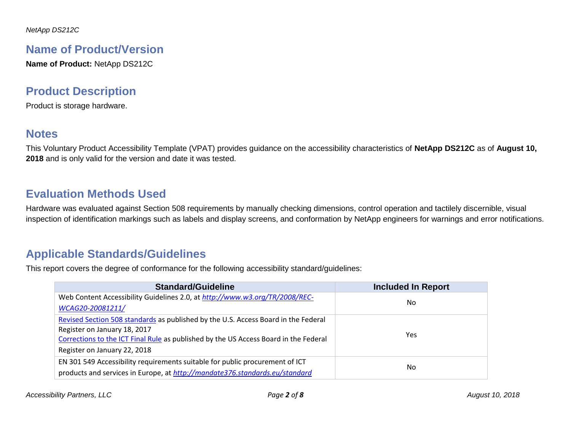### **Name of Product/Version**

**Name of Product:** NetApp DS212C

## **Product Description**

Product is storage hardware.

### **Notes**

This Voluntary Product Accessibility Template (VPAT) provides guidance on the accessibility characteristics of **NetApp DS212C** as of **August 10, 2018** and is only valid for the version and date it was tested.

## **Evaluation Methods Used**

Hardware was evaluated against Section 508 requirements by manually checking dimensions, control operation and tactilely discernible, visual inspection of identification markings such as labels and display screens, and conformation by NetApp engineers for warnings and error notifications.

## **Applicable Standards/Guidelines**

This report covers the degree of conformance for the following accessibility standard/guidelines:

| <b>Standard/Guideline</b>                                                            | <b>Included In Report</b> |  |
|--------------------------------------------------------------------------------------|---------------------------|--|
| Web Content Accessibility Guidelines 2.0, at http://www.w3.org/TR/2008/REC-          | No.                       |  |
| WCAG20-20081211/                                                                     |                           |  |
| Revised Section 508 standards as published by the U.S. Access Board in the Federal   |                           |  |
| Register on January 18, 2017                                                         |                           |  |
| Corrections to the ICT Final Rule as published by the US Access Board in the Federal | Yes.                      |  |
| Register on January 22, 2018                                                         |                           |  |
| EN 301 549 Accessibility requirements suitable for public procurement of ICT         |                           |  |
| products and services in Europe, at http://mandate376.standards.eu/standard          | No                        |  |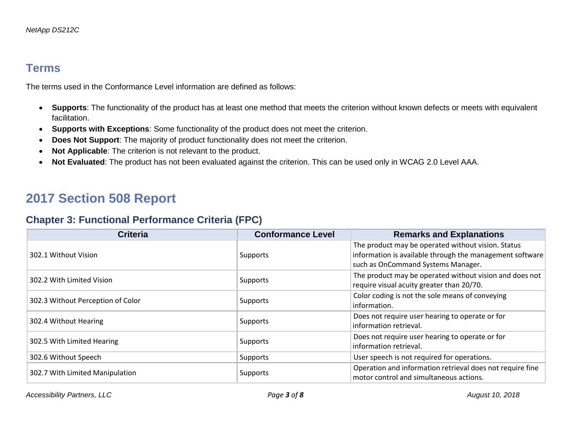### **Terms**

The terms used in the Conformance Level information are defined as follows:

- **Supports**: The functionality of the product has at least one method that meets the criterion without known defects or meets with equivalent facilitation.
- **Supports with Exceptions**: Some functionality of the product does not meet the criterion.
- **Does Not Support**: The majority of product functionality does not meet the criterion.
- **Not Applicable**: The criterion is not relevant to the product.
- **Not Evaluated**: The product has not been evaluated against the criterion. This can be used only in WCAG 2.0 Level AAA.

# **2017 Section 508 Report**

#### **Chapter 3: Functional Performance Criteria (FPC)**

| <b>Criteria</b>                   | <b>Conformance Level</b> | <b>Remarks and Explanations</b>                                                                                                                      |
|-----------------------------------|--------------------------|------------------------------------------------------------------------------------------------------------------------------------------------------|
| 302.1 Without Vision              | Supports                 | The product may be operated without vision. Status<br>information is available through the management software<br>such as OnCommand Systems Manager. |
| 302.2 With Limited Vision         | Supports                 | The product may be operated without vision and does not<br>require visual acuity greater than 20/70.                                                 |
| 302.3 Without Perception of Color | Supports                 | Color coding is not the sole means of conveying<br>information.                                                                                      |
| 302.4 Without Hearing             | Supports                 | Does not require user hearing to operate or for<br>information retrieval.                                                                            |
| 302.5 With Limited Hearing        | Supports                 | Does not require user hearing to operate or for<br>information retrieval.                                                                            |
| 302.6 Without Speech              | Supports                 | User speech is not required for operations.                                                                                                          |
| 302.7 With Limited Manipulation   | Supports                 | Operation and information retrieval does not require fine<br>motor control and simultaneous actions.                                                 |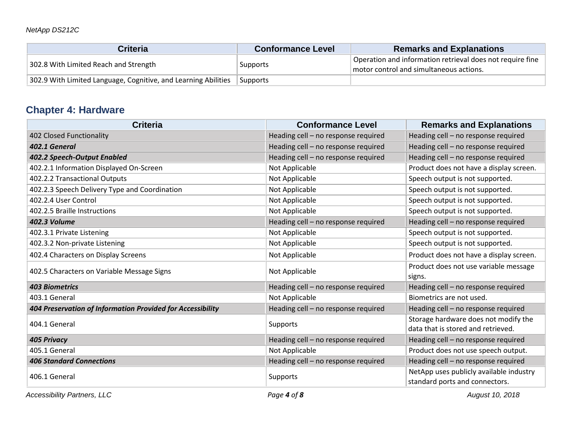| <b>Criteria</b>                                                | <b>Conformance Level</b> | <b>Remarks and Explanations</b>                                                                      |
|----------------------------------------------------------------|--------------------------|------------------------------------------------------------------------------------------------------|
| 302.8 With Limited Reach and Strength                          | Supports                 | Operation and information retrieval does not require fine<br>motor control and simultaneous actions. |
| 302.9 With Limited Language, Cognitive, and Learning Abilities | Supports                 |                                                                                                      |

## **Chapter 4: Hardware**

| <b>Criteria</b>                                            | <b>Conformance Level</b>            | <b>Remarks and Explanations</b>                                            |
|------------------------------------------------------------|-------------------------------------|----------------------------------------------------------------------------|
| 402 Closed Functionality                                   | Heading cell - no response required | Heading cell - no response required                                        |
| 402.1 General                                              | Heading cell - no response required | Heading cell - no response required                                        |
| 402.2 Speech-Output Enabled                                | Heading cell - no response required | Heading cell - no response required                                        |
| 402.2.1 Information Displayed On-Screen                    | Not Applicable                      | Product does not have a display screen.                                    |
| 402.2.2 Transactional Outputs                              | Not Applicable                      | Speech output is not supported.                                            |
| 402.2.3 Speech Delivery Type and Coordination              | Not Applicable                      | Speech output is not supported.                                            |
| 402.2.4 User Control                                       | Not Applicable                      | Speech output is not supported.                                            |
| 402.2.5 Braille Instructions                               | Not Applicable                      | Speech output is not supported.                                            |
| <b>402.3 Volume</b>                                        | Heading cell - no response required | Heading cell - no response required                                        |
| 402.3.1 Private Listening                                  | Not Applicable                      | Speech output is not supported.                                            |
| 402.3.2 Non-private Listening                              | Not Applicable                      | Speech output is not supported.                                            |
| 402.4 Characters on Display Screens                        | Not Applicable                      | Product does not have a display screen.                                    |
| 402.5 Characters on Variable Message Signs                 | Not Applicable                      | Product does not use variable message<br>signs.                            |
| <b>403 Biometrics</b>                                      | Heading cell - no response required | Heading cell - no response required                                        |
| 403.1 General                                              | Not Applicable                      | Biometrics are not used.                                                   |
| 404 Preservation of Information Provided for Accessibility | Heading cell - no response required | Heading cell - no response required                                        |
| 404.1 General                                              | Supports                            | Storage hardware does not modify the<br>data that is stored and retrieved. |
| <b>405 Privacy</b>                                         | Heading cell - no response required | Heading cell - no response required                                        |
| 405.1 General                                              | Not Applicable                      | Product does not use speech output.                                        |
| <b>406 Standard Connections</b>                            | Heading cell - no response required | Heading cell - no response required                                        |
| 406.1 General                                              | Supports                            | NetApp uses publicly available industry<br>standard ports and connectors.  |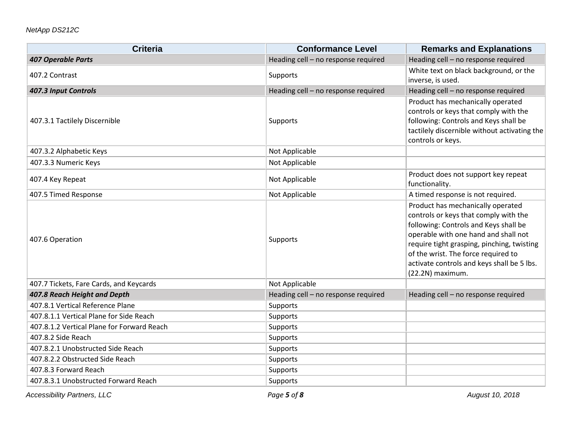| <b>Criteria</b>                            | <b>Conformance Level</b>            | <b>Remarks and Explanations</b>                                                                                                                                                                                                                                                                                    |
|--------------------------------------------|-------------------------------------|--------------------------------------------------------------------------------------------------------------------------------------------------------------------------------------------------------------------------------------------------------------------------------------------------------------------|
| <b>407 Operable Parts</b>                  | Heading cell - no response required | Heading cell - no response required                                                                                                                                                                                                                                                                                |
| 407.2 Contrast                             | Supports                            | White text on black background, or the                                                                                                                                                                                                                                                                             |
|                                            |                                     | inverse, is used.                                                                                                                                                                                                                                                                                                  |
| 407.3 Input Controls                       | Heading cell - no response required | Heading cell - no response required                                                                                                                                                                                                                                                                                |
| 407.3.1 Tactilely Discernible              | Supports                            | Product has mechanically operated<br>controls or keys that comply with the<br>following: Controls and Keys shall be<br>tactilely discernible without activating the<br>controls or keys.                                                                                                                           |
| 407.3.2 Alphabetic Keys                    | Not Applicable                      |                                                                                                                                                                                                                                                                                                                    |
| 407.3.3 Numeric Keys                       | Not Applicable                      |                                                                                                                                                                                                                                                                                                                    |
| 407.4 Key Repeat                           | Not Applicable                      | Product does not support key repeat<br>functionality.                                                                                                                                                                                                                                                              |
| 407.5 Timed Response                       | Not Applicable                      | A timed response is not required.                                                                                                                                                                                                                                                                                  |
| 407.6 Operation                            | Supports                            | Product has mechanically operated<br>controls or keys that comply with the<br>following: Controls and Keys shall be<br>operable with one hand and shall not<br>require tight grasping, pinching, twisting<br>of the wrist. The force required to<br>activate controls and keys shall be 5 lbs.<br>(22.2N) maximum. |
| 407.7 Tickets, Fare Cards, and Keycards    | Not Applicable                      |                                                                                                                                                                                                                                                                                                                    |
| 407.8 Reach Height and Depth               | Heading cell - no response required | Heading cell - no response required                                                                                                                                                                                                                                                                                |
| 407.8.1 Vertical Reference Plane           | Supports                            |                                                                                                                                                                                                                                                                                                                    |
| 407.8.1.1 Vertical Plane for Side Reach    | Supports                            |                                                                                                                                                                                                                                                                                                                    |
| 407.8.1.2 Vertical Plane for Forward Reach | Supports                            |                                                                                                                                                                                                                                                                                                                    |
| 407.8.2 Side Reach                         | Supports                            |                                                                                                                                                                                                                                                                                                                    |
| 407.8.2.1 Unobstructed Side Reach          | Supports                            |                                                                                                                                                                                                                                                                                                                    |
| 407.8.2.2 Obstructed Side Reach            | Supports                            |                                                                                                                                                                                                                                                                                                                    |
| 407.8.3 Forward Reach                      | Supports                            |                                                                                                                                                                                                                                                                                                                    |
| 407.8.3.1 Unobstructed Forward Reach       | Supports                            |                                                                                                                                                                                                                                                                                                                    |

*Accessibility Partners, LLC Page 5 of 8 August 10, 2018*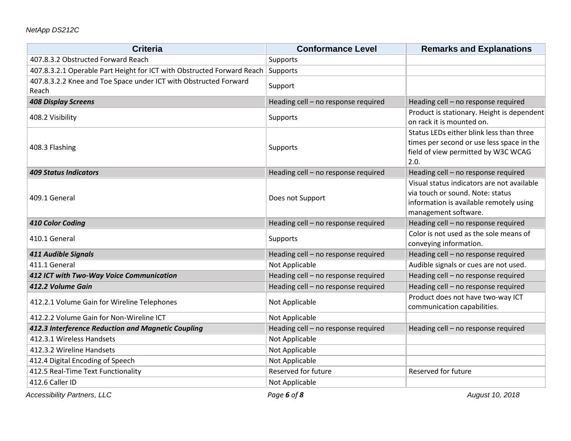| <b>Criteria</b>                                                           | <b>Conformance Level</b>            | <b>Remarks and Explanations</b>                                                                                                                   |
|---------------------------------------------------------------------------|-------------------------------------|---------------------------------------------------------------------------------------------------------------------------------------------------|
| 407.8.3.2 Obstructed Forward Reach                                        | Supports                            |                                                                                                                                                   |
| 407.8.3.2.1 Operable Part Height for ICT with Obstructed Forward Reach    | Supports                            |                                                                                                                                                   |
| 407.8.3.2.2 Knee and Toe Space under ICT with Obstructed Forward<br>Reach | Support                             |                                                                                                                                                   |
| <b>408 Display Screens</b>                                                | Heading cell - no response required | Heading cell - no response required                                                                                                               |
| 408.2 Visibility                                                          | Supports                            | Product is stationary. Height is dependent<br>on rack it is mounted on.                                                                           |
| 408.3 Flashing                                                            | Supports                            | Status LEDs either blink less than three<br>times per second or use less space in the<br>field of view permitted by W3C WCAG<br>2.0.              |
| <b>409 Status Indicators</b>                                              | Heading cell - no response required | Heading cell - no response required                                                                                                               |
| 409.1 General                                                             | Does not Support                    | Visual status indicators are not available<br>via touch or sound. Note: status<br>information is available remotely using<br>management software. |
| 410 Color Coding                                                          | Heading cell - no response required | Heading cell - no response required                                                                                                               |
| 410.1 General                                                             | Supports                            | Color is not used as the sole means of<br>conveying information.                                                                                  |
| 411 Audible Signals                                                       | Heading cell - no response required | Heading cell - no response required                                                                                                               |
| 411.1 General                                                             | Not Applicable                      | Audible signals or cues are not used.                                                                                                             |
| 412 ICT with Two-Way Voice Communication                                  | Heading cell - no response required | Heading cell - no response required                                                                                                               |
| 412.2 Volume Gain                                                         | Heading cell - no response required | Heading cell - no response required                                                                                                               |
| 412.2.1 Volume Gain for Wireline Telephones                               | Not Applicable                      | Product does not have two-way ICT<br>communication capabilities.                                                                                  |
| 412.2.2 Volume Gain for Non-Wireline ICT                                  | Not Applicable                      |                                                                                                                                                   |
| 412.3 Interference Reduction and Magnetic Coupling                        | Heading cell - no response required | Heading cell - no response required                                                                                                               |
| 412.3.1 Wireless Handsets                                                 | Not Applicable                      |                                                                                                                                                   |
| 412.3.2 Wireline Handsets                                                 | Not Applicable                      |                                                                                                                                                   |
| 412.4 Digital Encoding of Speech                                          | Not Applicable                      |                                                                                                                                                   |
| 412.5 Real-Time Text Functionality                                        | Reserved for future                 | Reserved for future                                                                                                                               |
| 412.6 Caller ID                                                           | Not Applicable                      |                                                                                                                                                   |

*Accessibility Partners, LLC Page 6 of 8 August 10, 2018*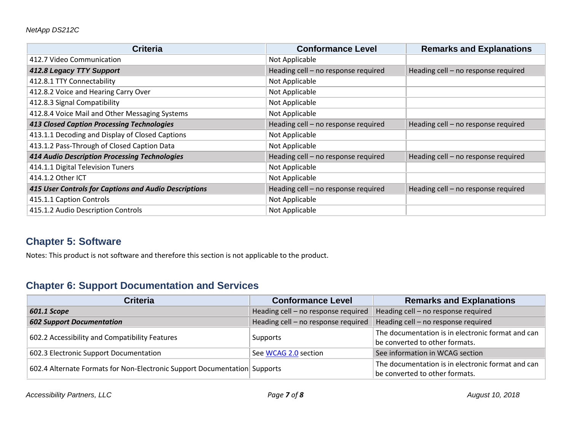| <b>Criteria</b>                                       | <b>Conformance Level</b>            | <b>Remarks and Explanations</b>     |
|-------------------------------------------------------|-------------------------------------|-------------------------------------|
| 412.7 Video Communication                             | Not Applicable                      |                                     |
| 412.8 Legacy TTY Support                              | Heading cell - no response required | Heading cell - no response required |
| 412.8.1 TTY Connectability                            | Not Applicable                      |                                     |
| 412.8.2 Voice and Hearing Carry Over                  | Not Applicable                      |                                     |
| 412.8.3 Signal Compatibility                          | Not Applicable                      |                                     |
| 412.8.4 Voice Mail and Other Messaging Systems        | Not Applicable                      |                                     |
| <b>413 Closed Caption Processing Technologies</b>     | Heading cell - no response required | Heading cell - no response required |
| 413.1.1 Decoding and Display of Closed Captions       | Not Applicable                      |                                     |
| 413.1.2 Pass-Through of Closed Caption Data           | Not Applicable                      |                                     |
| <b>414 Audio Description Processing Technologies</b>  | Heading cell - no response required | Heading cell - no response required |
| 414.1.1 Digital Television Tuners                     | Not Applicable                      |                                     |
| 414.1.2 Other ICT                                     | Not Applicable                      |                                     |
| 415 User Controls for Captions and Audio Descriptions | Heading cell - no response required | Heading cell - no response required |
| 415.1.1 Caption Controls                              | Not Applicable                      |                                     |
| 415.1.2 Audio Description Controls                    | Not Applicable                      |                                     |

### **Chapter 5: Software**

Notes: This product is not software and therefore this section is not applicable to the product.

### **Chapter 6: Support Documentation and Services**

| <b>Criteria</b>                                                           | <b>Conformance Level</b>            | <b>Remarks and Explanations</b>                                                     |
|---------------------------------------------------------------------------|-------------------------------------|-------------------------------------------------------------------------------------|
| 601.1 Scope                                                               | Heading cell - no response required | Heading cell - no response required                                                 |
| <b>602 Support Documentation</b>                                          | Heading cell - no response required | Heading cell - no response required                                                 |
| 602.2 Accessibility and Compatibility Features                            | Supports                            | The documentation is in electronic format and can<br>be converted to other formats. |
| 602.3 Electronic Support Documentation                                    | See WCAG 2.0 section                | See information in WCAG section                                                     |
| 602.4 Alternate Formats for Non-Electronic Support Documentation Supports |                                     | The documentation is in electronic format and can<br>be converted to other formats. |